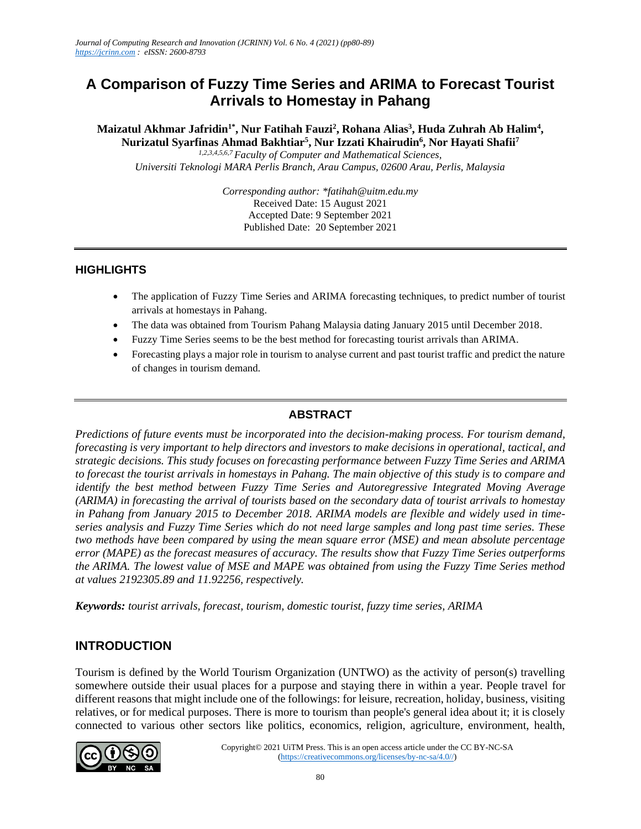# **A Comparison of Fuzzy Time Series and ARIMA to Forecast Tourist Arrivals to Homestay in Pahang**

**Maizatul Akhmar Jafridin1\*, Nur Fatihah Fauzi<sup>2</sup> , Rohana Alias<sup>3</sup> , Huda Zuhrah Ab Halim<sup>4</sup> , Nurizatul Syarfinas Ahmad Bakhtiar<sup>5</sup> , Nur Izzati Khairudin<sup>6</sup> , Nor Hayati Shafii<sup>7</sup>**

*1,2,3,4,5,6,7 Faculty of Computer and Mathematical Sciences, Universiti Teknologi MARA Perlis Branch, Arau Campus, 02600 Arau, Perlis, Malaysia*

> *Corresponding author: \*fatihah@uitm.edu.my* Received Date: 15 August 2021 Accepted Date: 9 September 2021 Published Date: 20 September 2021

#### **HIGHLIGHTS**

- The application of Fuzzy Time Series and ARIMA forecasting techniques, to predict number of tourist arrivals at homestays in Pahang.
- The data was obtained from Tourism Pahang Malaysia dating January 2015 until December 2018.
- Fuzzy Time Series seems to be the best method for forecasting tourist arrivals than ARIMA.
- Forecasting plays a major role in tourism to analyse current and past tourist traffic and predict the nature of changes in tourism demand.

#### **ABSTRACT**

*Predictions of future events must be incorporated into the decision-making process. For tourism demand, forecasting is very important to help directors and investors to make decisions in operational, tactical, and strategic decisions. This study focuses on forecasting performance between Fuzzy Time Series and ARIMA to forecast the tourist arrivals in homestays in Pahang. The main objective of this study is to compare and identify the best method between Fuzzy Time Series and Autoregressive Integrated Moving Average (ARIMA) in forecasting the arrival of tourists based on the secondary data of tourist arrivals to homestay in Pahang from January 2015 to December 2018. ARIMA models are flexible and widely used in timeseries analysis and Fuzzy Time Series which do not need large samples and long past time series. These two methods have been compared by using the mean square error (MSE) and mean absolute percentage error (MAPE) as the forecast measures of accuracy. The results show that Fuzzy Time Series outperforms the ARIMA. The lowest value of MSE and MAPE was obtained from using the Fuzzy Time Series method at values 2192305.89 and 11.92256, respectively.*

*Keywords: tourist arrivals, forecast, tourism, domestic tourist, fuzzy time series, ARIMA*

## **INTRODUCTION**

Tourism is defined by the World Tourism Organization (UNTWO) as the activity of person(s) travelling somewhere outside their usual places for a purpose and staying there in within a year. People travel for different reasons that might include one of the followings: for leisure, recreation, holiday, business, visiting relatives, or for medical purposes. There is more to tourism than people's general idea about it; it is closely connected to various other sectors like politics, economics, religion, agriculture, environment, health,

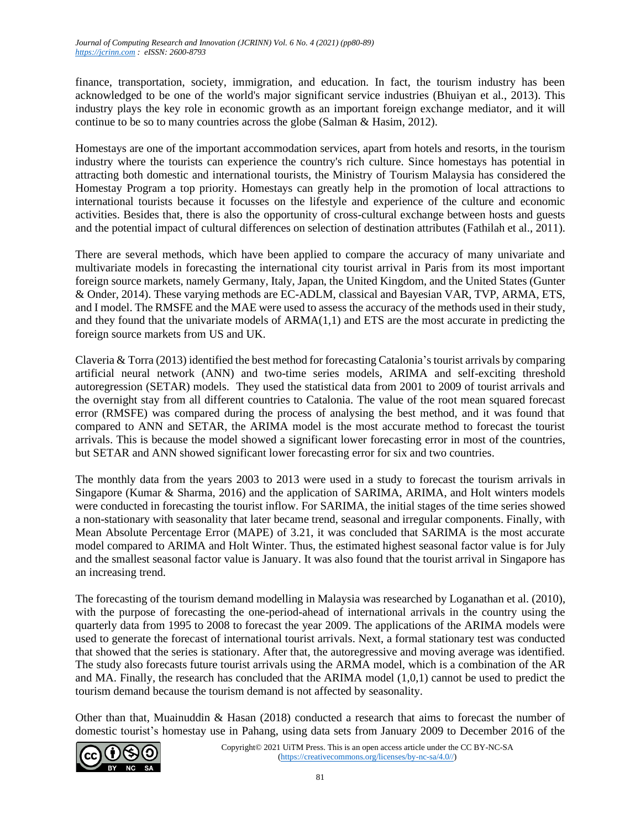finance, transportation, society, immigration, and education. In fact, the tourism industry has been acknowledged to be one of the world's major significant service industries (Bhuiyan et al., 2013). This industry plays the key role in economic growth as an important foreign exchange mediator, and it will continue to be so to many countries across the globe (Salman & Hasim, 2012).

Homestays are one of the important accommodation services, apart from hotels and resorts, in the tourism industry where the tourists can experience the country's rich culture. Since homestays has potential in attracting both domestic and international tourists, the Ministry of Tourism Malaysia has considered the Homestay Program a top priority. Homestays can greatly help in the promotion of local attractions to international tourists because it focusses on the lifestyle and experience of the culture and economic activities. Besides that, there is also the opportunity of cross-cultural exchange between hosts and guests and the potential impact of cultural differences on selection of destination attributes (Fathilah et al., 2011).

There are several methods, which have been applied to compare the accuracy of many univariate and multivariate models in forecasting the international city tourist arrival in Paris from its most important foreign source markets, namely Germany, Italy, Japan, the United Kingdom, and the United States (Gunter & Onder, 2014). These varying methods are EC-ADLM, classical and Bayesian VAR, TVP, ARMA, ETS, and I model. The RMSFE and the MAE were used to assess the accuracy of the methods used in their study, and they found that the univariate models of ARMA(1,1) and ETS are the most accurate in predicting the foreign source markets from US and UK.

Claveria & Torra (2013) identified the best method for forecasting Catalonia's tourist arrivals by comparing artificial neural network (ANN) and two-time series models, ARIMA and self-exciting threshold autoregression (SETAR) models. They used the statistical data from 2001 to 2009 of tourist arrivals and the overnight stay from all different countries to Catalonia. The value of the root mean squared forecast error (RMSFE) was compared during the process of analysing the best method, and it was found that compared to ANN and SETAR, the ARIMA model is the most accurate method to forecast the tourist arrivals. This is because the model showed a significant lower forecasting error in most of the countries, but SETAR and ANN showed significant lower forecasting error for six and two countries.

The monthly data from the years 2003 to 2013 were used in a study to forecast the tourism arrivals in Singapore (Kumar & Sharma, 2016) and the application of SARIMA, ARIMA, and Holt winters models were conducted in forecasting the tourist inflow. For SARIMA, the initial stages of the time series showed a non-stationary with seasonality that later became trend, seasonal and irregular components. Finally, with Mean Absolute Percentage Error (MAPE) of 3.21, it was concluded that SARIMA is the most accurate model compared to ARIMA and Holt Winter. Thus, the estimated highest seasonal factor value is for July and the smallest seasonal factor value is January. It was also found that the tourist arrival in Singapore has an increasing trend.

The forecasting of the tourism demand modelling in Malaysia was researched by Loganathan et al. (2010), with the purpose of forecasting the one-period-ahead of international arrivals in the country using the quarterly data from 1995 to 2008 to forecast the year 2009. The applications of the ARIMA models were used to generate the forecast of international tourist arrivals. Next, a formal stationary test was conducted that showed that the series is stationary. After that, the autoregressive and moving average was identified. The study also forecasts future tourist arrivals using the ARMA model, which is a combination of the AR and MA. Finally, the research has concluded that the ARIMA model  $(1,0,1)$  cannot be used to predict the tourism demand because the tourism demand is not affected by seasonality.

Other than that, Muainuddin & Hasan (2018) conducted a research that aims to forecast the number of domestic tourist's homestay use in Pahang, using data sets from January 2009 to December 2016 of the

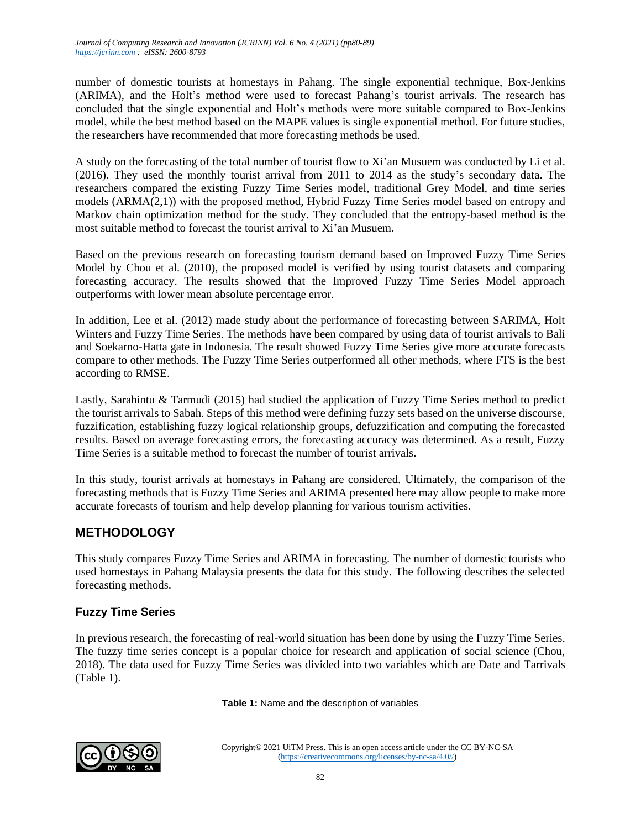number of domestic tourists at homestays in Pahang. The single exponential technique, Box-Jenkins (ARIMA), and the Holt's method were used to forecast Pahang's tourist arrivals. The research has concluded that the single exponential and Holt's methods were more suitable compared to Box-Jenkins model, while the best method based on the MAPE values is single exponential method. For future studies, the researchers have recommended that more forecasting methods be used.

A study on the forecasting of the total number of tourist flow to Xi'an Musuem was conducted by Li et al. (2016). They used the monthly tourist arrival from 2011 to 2014 as the study's secondary data. The researchers compared the existing Fuzzy Time Series model, traditional Grey Model, and time series models (ARMA(2,1)) with the proposed method, Hybrid Fuzzy Time Series model based on entropy and Markov chain optimization method for the study. They concluded that the entropy-based method is the most suitable method to forecast the tourist arrival to Xi'an Musuem.

Based on the previous research on forecasting tourism demand based on Improved Fuzzy Time Series Model by Chou et al. (2010), the proposed model is verified by using tourist datasets and comparing forecasting accuracy. The results showed that the Improved Fuzzy Time Series Model approach outperforms with lower mean absolute percentage error.

In addition, Lee et al. (2012) made study about the performance of forecasting between SARIMA, Holt Winters and Fuzzy Time Series. The methods have been compared by using data of tourist arrivals to Bali and Soekarno-Hatta gate in Indonesia. The result showed Fuzzy Time Series give more accurate forecasts compare to other methods. The Fuzzy Time Series outperformed all other methods, where FTS is the best according to RMSE.

Lastly, Sarahintu & Tarmudi (2015) had studied the application of Fuzzy Time Series method to predict the tourist arrivals to Sabah. Steps of this method were defining fuzzy sets based on the universe discourse, fuzzification, establishing fuzzy logical relationship groups, defuzzification and computing the forecasted results. Based on average forecasting errors, the forecasting accuracy was determined. As a result, Fuzzy Time Series is a suitable method to forecast the number of tourist arrivals.

In this study, tourist arrivals at homestays in Pahang are considered. Ultimately, the comparison of the forecasting methods that is Fuzzy Time Series and ARIMA presented here may allow people to make more accurate forecasts of tourism and help develop planning for various tourism activities.

# **METHODOLOGY**

This study compares Fuzzy Time Series and ARIMA in forecasting. The number of domestic tourists who used homestays in Pahang Malaysia presents the data for this study. The following describes the selected forecasting methods.

# **Fuzzy Time Series**

In previous research, the forecasting of real-world situation has been done by using the Fuzzy Time Series. The fuzzy time series concept is a popular choice for research and application of social science (Chou, 2018). The data used for Fuzzy Time Series was divided into two variables which are Date and Tarrivals (Table 1).

**Table 1:** Name and the description of variables

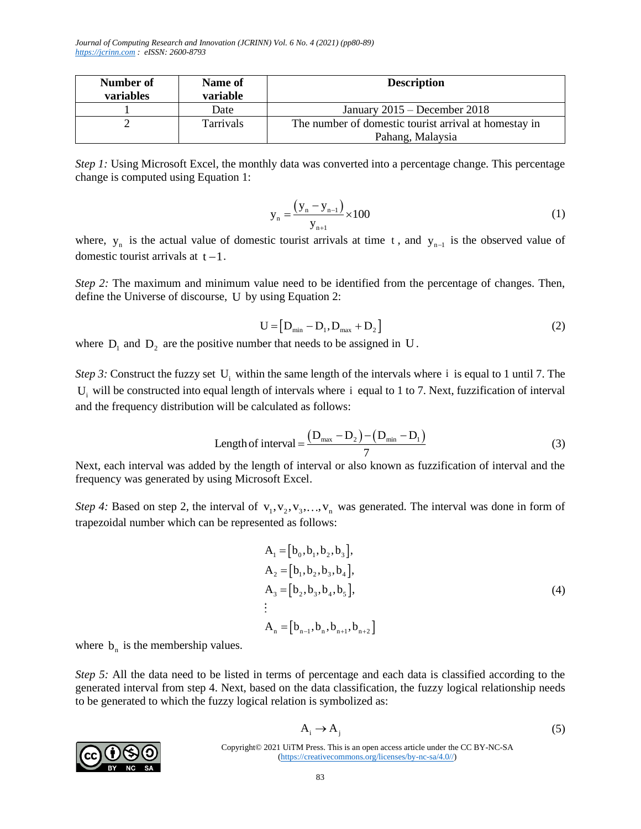| Number of<br>variables | Name of<br>variable | <b>Description</b>                                    |  |
|------------------------|---------------------|-------------------------------------------------------|--|
|                        | Date                | January $2015$ – December 2018                        |  |
|                        | <b>Tarrivals</b>    | The number of domestic tourist arrival at homestay in |  |
|                        |                     | Pahang, Malaysia                                      |  |

*Step 1:* Using Microsoft Excel, the monthly data was converted into a percentage change. This percentage change is computed using Equation 1:

$$
y_n = \frac{(y_n - y_{n-1})}{y_{n+1}} \times 100
$$
 (1)

where,  $y_n$  is the actual value of domestic tourist arrivals at time t, and  $y_{n-1}$  is the observed value of domestic tourist arrivals at  $t-1$ .

*Step 2:* The maximum and minimum value need to be identified from the percentage of changes. Then, define the Universe of discourse, U by using Equation 2:

$$
U = [D_{\min} - D_1, D_{\max} + D_2]
$$
 (2)

where  $D_1$  and  $D_2$  are the positive number that needs to be assigned in U.

*Step 3:* Construct the fuzzy set  $U_i$  within the same length of the intervals where i is equal to 1 until 7. The  $U_i$  will be constructed into equal length of intervals where i equal to 1 to 7. Next, fuzzification of interval and the frequency distribution will be calculated as follows:

Length of interval = 
$$
\frac{(D_{\text{max}} - D_2) - (D_{\text{min}} - D_1)}{7}
$$
 (3)

Next, each interval was added by the length of interval or also known as fuzzification of interval and the frequency was generated by using Microsoft Excel.

*Step 4:* Based on step 2, the interval of  $v_1, v_2, v_3, \ldots, v_n$  was generated. The interval was done in form of trapezoidal number which can be represented as follows:

$$
A_1 = [b_0, b_1, b_2, b_3],
$$
  
\n
$$
A_2 = [b_1, b_2, b_3, b_4],
$$
  
\n
$$
A_3 = [b_2, b_3, b_4, b_5],
$$
  
\n
$$
\vdots
$$
  
\n
$$
A_n = [b_{n-1}, b_n, b_{n+1}, b_{n+2}]
$$
\n(4)

where  $b_n$  is the membership values.

*Step 5:* All the data need to be listed in terms of percentage and each data is classified according to the generated interval from step 4. Next, based on the data classification, the fuzzy logical relationship needs to be generated to which the fuzzy logical relation is symbolized as:

$$
A_i \to A_j \tag{5}
$$

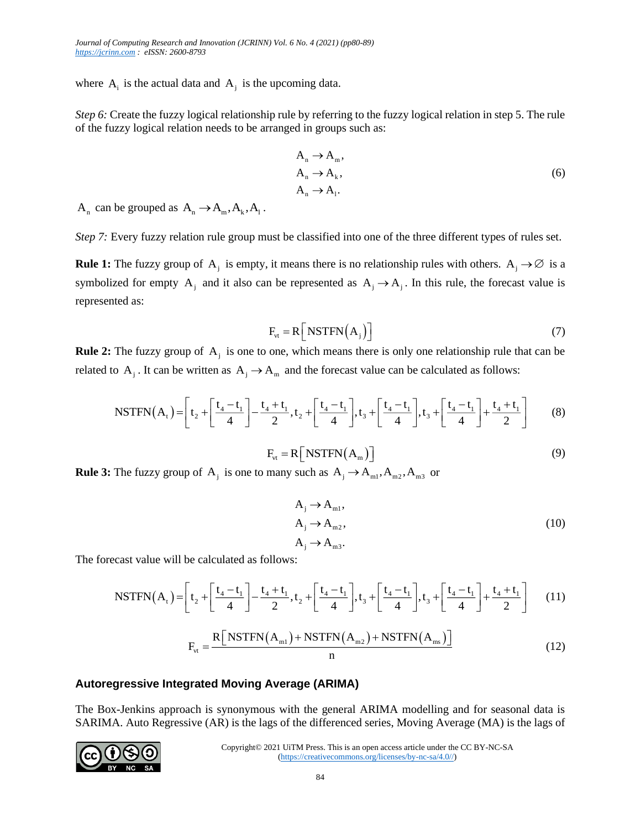where  $A_i$  is the actual data and  $A_j$  is the upcoming data.

*Step 6:* Create the fuzzy logical relationship rule by referring to the fuzzy logical relation in step 5. The rule of the fuzzy logical relation needs to be arranged in groups such as:

$$
A_n \to A_n,
$$
  
\n
$$
A_n \to A_k,
$$
  
\n
$$
A_n \to A_l.
$$
  
\n(6)

 $A_n$  can be grouped as  $A_n \to A_m, A_k, A_1$ .

*Step 7:* Every fuzzy relation rule group must be classified into one of the three different types of rules set.

**Rule 1:** The fuzzy group of  $A_j$  is empty, it means there is no relationship rules with others.  $A_j \to \emptyset$  is a symbolized for empty A<sub>j</sub> and it also can be represented as  $A_j \rightarrow A_j$ . In this rule, the forecast value is represented as:

$$
F_{vt} = R \left[ \text{NSTFN} \left( A_j \right) \right] \tag{7}
$$

**Rule 2:** The fuzzy group of  $A_j$  is one to one, which means there is only one relationship rule that can be related to A<sub>j</sub>. It can be written as  $A_j \to A_m$  and the forecast value can be calculated as follows:

$$
A_j \text{. It can be written as } A_j \to A_m \text{ and the forecast value can be calculated as follows:}
$$
\n
$$
\text{NSTFN}(A_t) = \left[ t_2 + \left[ \frac{t_4 - t_1}{4} \right] - \frac{t_4 + t_1}{2}, t_2 + \left[ \frac{t_4 - t_1}{4} \right], t_3 + \left[ \frac{t_4 - t_1}{4} \right], t_3 + \left[ \frac{t_4 - t_1}{4} \right] + \frac{t_4 + t_1}{2} \right] \tag{8}
$$

$$
F_{vt} = R \left[ \text{NSTFN}(A_m) \right] \tag{9}
$$

**Rule 3:** The fuzzy group of  $A_j$  is one to many such as  $A_j \to A_{m1}, A_{m2}, A_{m3}$  or

$$
A_{j} \to A_{m1},
$$
  
\n
$$
A_{j} \to A_{m2},
$$
  
\n
$$
A_{j} \to A_{m3}.
$$
\n(10)

The forecast value will be calculated as follows:

$$
A_{j} \rightarrow A_{ms}.
$$
  
\ncast value will be calculated as follows:  
\n
$$
NSTFN(A_{t}) = \left[ t_{2} + \left[ \frac{t_{4} - t_{1}}{4} \right] - \frac{t_{4} + t_{1}}{2}, t_{2} + \left[ \frac{t_{4} - t_{1}}{4} \right], t_{3} + \left[ \frac{t_{4} - t_{1}}{4} \right], t_{3} + \left[ \frac{t_{4} - t_{1}}{4} \right] + \frac{t_{4} + t_{1}}{2} \right] \tag{11}
$$

$$
F_{vt} = \frac{R \left[ \text{NSTFN}(A_{m1}) + \text{NSTFN}(A_{m2}) + \text{NSTFN}(A_{ms}) \right]}{n}
$$
(12)

#### **Autoregressive Integrated Moving Average (ARIMA)**

The Box-Jenkins approach is synonymous with the general ARIMA modelling and for seasonal data is SARIMA. Auto Regressive (AR) is the lags of the differenced series, Moving Average (MA) is the lags of

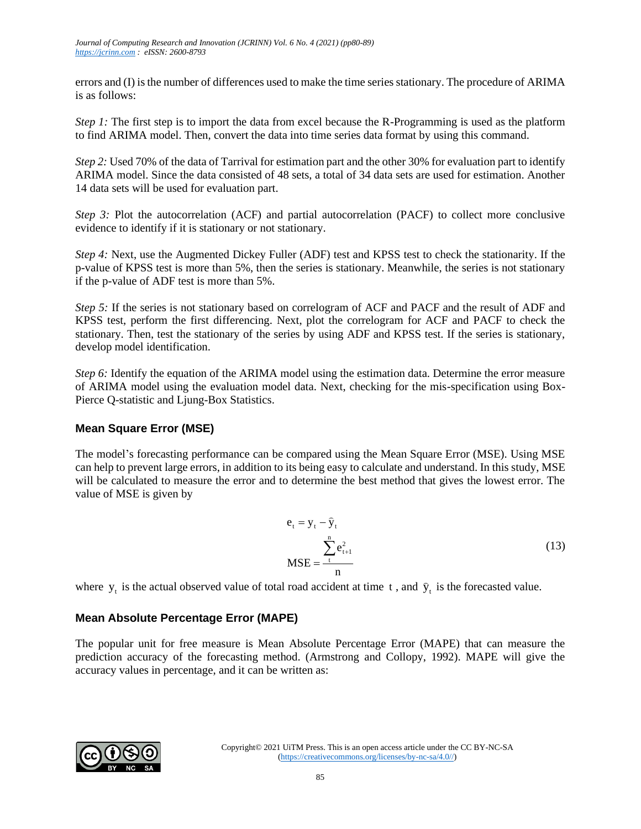errors and (I) is the number of differences used to make the time series stationary. The procedure of ARIMA is as follows:

*Step 1:* The first step is to import the data from excel because the R-Programming is used as the platform to find ARIMA model. Then, convert the data into time series data format by using this command.

*Step 2:* Used 70% of the data of Tarrival for estimation part and the other 30% for evaluation part to identify ARIMA model. Since the data consisted of 48 sets, a total of 34 data sets are used for estimation. Another 14 data sets will be used for evaluation part.

*Step 3:* Plot the autocorrelation (ACF) and partial autocorrelation (PACF) to collect more conclusive evidence to identify if it is stationary or not stationary.

*Step 4:* Next, use the Augmented Dickey Fuller (ADF) test and KPSS test to check the stationarity. If the p-value of KPSS test is more than 5%, then the series is stationary. Meanwhile, the series is not stationary if the p-value of ADF test is more than 5%.

*Step 5:* If the series is not stationary based on correlogram of ACF and PACF and the result of ADF and KPSS test, perform the first differencing. Next, plot the correlogram for ACF and PACF to check the stationary. Then, test the stationary of the series by using ADF and KPSS test. If the series is stationary, develop model identification.

*Step 6:* Identify the equation of the ARIMA model using the estimation data. Determine the error measure of ARIMA model using the evaluation model data. Next, checking for the mis-specification using Box-Pierce Q-statistic and Ljung-Box Statistics.

#### **Mean Square Error (MSE)**

The model's forecasting performance can be compared using the Mean Square Error (MSE). Using MSE can help to prevent large errors, in addition to its being easy to calculate and understand. In this study, MSE will be calculated to measure the error and to determine the best method that gives the lowest error. The value of MSE is given by

$$
e_{t} = y_{t} - \hat{y}_{t}
$$
  
\n
$$
MSE = \frac{\sum_{t=1}^{n} e_{t+1}^{2}}{n}
$$
 (13)

where  $y_t$  is the actual observed value of total road accident at time t, and  $\hat{y}_t$  is the forecasted value.

#### **Mean Absolute Percentage Error (MAPE)**

The popular unit for free measure is Mean Absolute Percentage Error (MAPE) that can measure the prediction accuracy of the forecasting method. (Armstrong and Collopy, 1992). MAPE will give the accuracy values in percentage, and it can be written as:

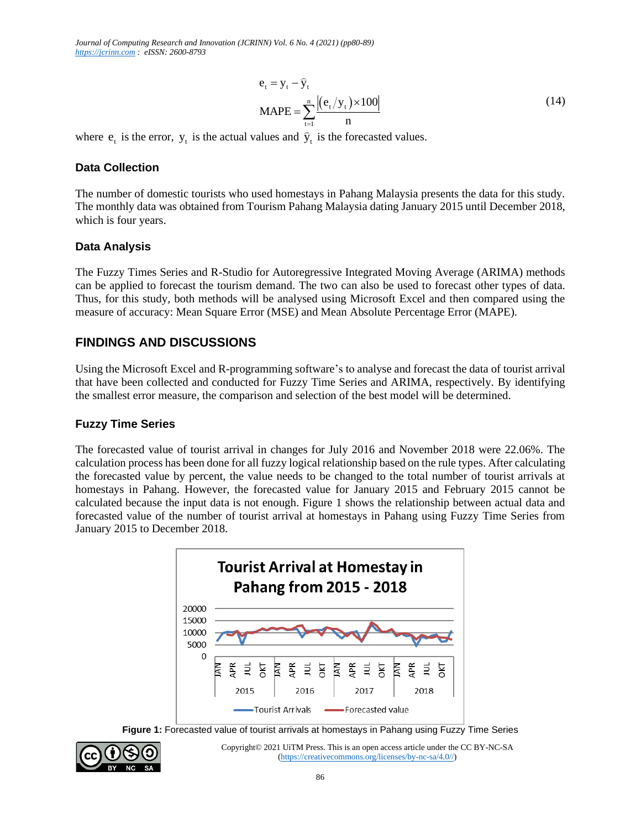$$
e_{t} = y_{t} - \hat{y}_{t}
$$
  
MAPE = 
$$
\sum_{t=1}^{n} \frac{|(e_{t}/y_{t}) \times 100|}{n}
$$
 (14)

where  $e_t$  is the error,  $y_t$  is the actual values and  $\hat{y}_t$  is the forecasted values.

#### **Data Collection**

The number of domestic tourists who used homestays in Pahang Malaysia presents the data for this study. The monthly data was obtained from Tourism Pahang Malaysia dating January 2015 until December 2018, which is four years.

#### **Data Analysis**

The Fuzzy Times Series and R-Studio for Autoregressive Integrated Moving Average (ARIMA) methods can be applied to forecast the tourism demand. The two can also be used to forecast other types of data. Thus, for this study, both methods will be analysed using Microsoft Excel and then compared using the measure of accuracy: Mean Square Error (MSE) and Mean Absolute Percentage Error (MAPE).

## **FINDINGS AND DISCUSSIONS**

Using the Microsoft Excel and R-programming software's to analyse and forecast the data of tourist arrival that have been collected and conducted for Fuzzy Time Series and ARIMA, respectively. By identifying the smallest error measure, the comparison and selection of the best model will be determined.

#### **Fuzzy Time Series**

The forecasted value of tourist arrival in changes for July 2016 and November 2018 were 22.06%. The calculation process has been done for all fuzzy logical relationship based on the rule types. After calculating the forecasted value by percent, the value needs to be changed to the total number of tourist arrivals at homestays in Pahang. However, the forecasted value for January 2015 and February 2015 cannot be calculated because the input data is not enough. Figure 1 shows the relationship between actual data and forecasted value of the number of tourist arrival at homestays in Pahang using Fuzzy Time Series from January 2015 to December 2018.



**Figure 1:** Forecasted value of tourist arrivals at homestays in Pahang using Fuzzy Time Series

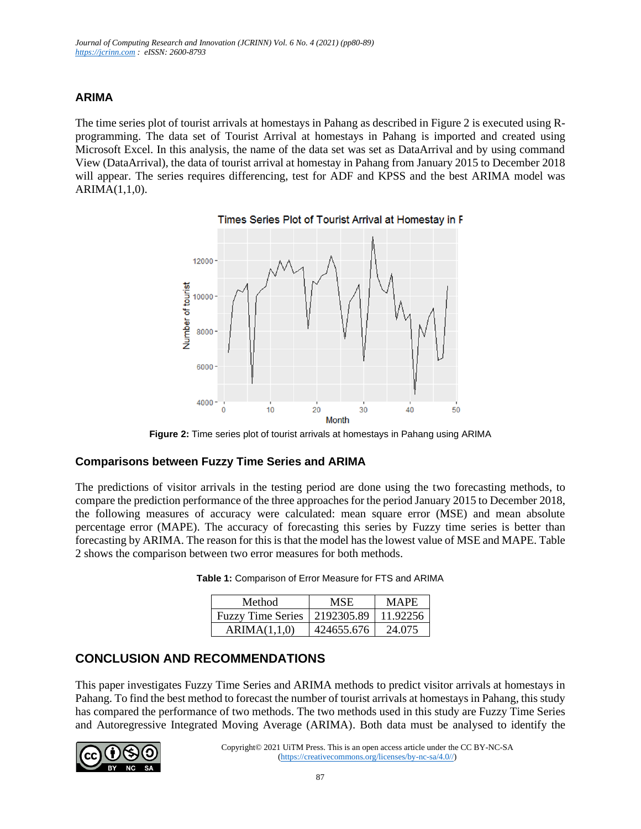### **ARIMA**

The time series plot of tourist arrivals at homestays in Pahang as described in Figure 2 is executed using Rprogramming. The data set of Tourist Arrival at homestays in Pahang is imported and created using Microsoft Excel. In this analysis, the name of the data set was set as DataArrival and by using command View (DataArrival), the data of tourist arrival at homestay in Pahang from January 2015 to December 2018 will appear. The series requires differencing, test for ADF and KPSS and the best ARIMA model was ARIMA(1,1,0).



**Figure 2:** Time series plot of tourist arrivals at homestays in Pahang using ARIMA

#### **Comparisons between Fuzzy Time Series and ARIMA**

The predictions of visitor arrivals in the testing period are done using the two forecasting methods, to compare the prediction performance of the three approaches for the period January 2015 to December 2018, the following measures of accuracy were calculated: mean square error (MSE) and mean absolute percentage error (MAPE). The accuracy of forecasting this series by Fuzzy time series is better than forecasting by ARIMA. The reason for this is that the model has the lowest value of MSE and MAPE. Table 2 shows the comparison between two error measures for both methods.

| Method                                    | <b>MSE</b> | <b>MAPE</b> |
|-------------------------------------------|------------|-------------|
| Fuzzy Time Series   2192305.89   11.92256 |            |             |

ARIMA(1,1,0) | 424655.676 | 24.075

**Table 1:** Comparison of Error Measure for FTS and ARIMA

## **CONCLUSION AND RECOMMENDATIONS**

This paper investigates Fuzzy Time Series and ARIMA methods to predict visitor arrivals at homestays in Pahang. To find the best method to forecast the number of tourist arrivals at homestays in Pahang, this study has compared the performance of two methods. The two methods used in this study are Fuzzy Time Series and Autoregressive Integrated Moving Average (ARIMA). Both data must be analysed to identify the

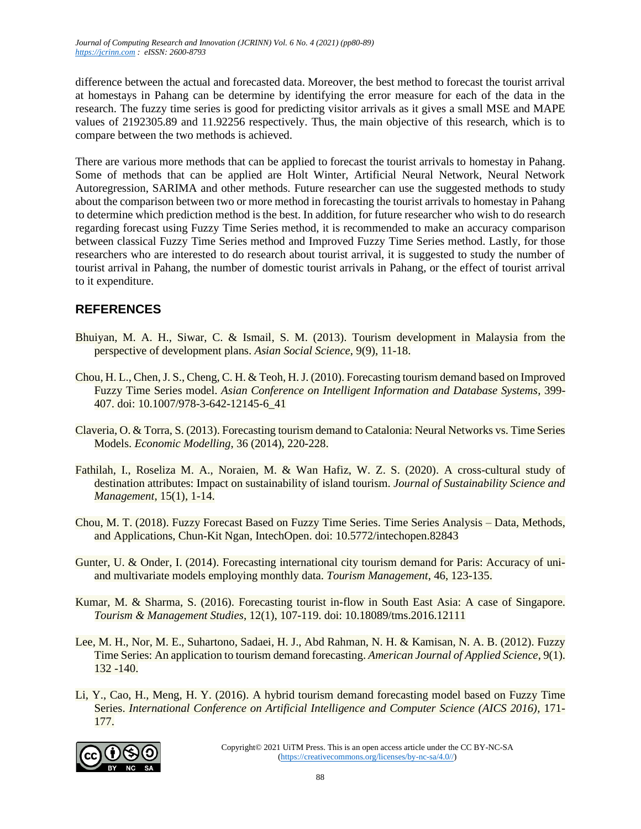difference between the actual and forecasted data. Moreover, the best method to forecast the tourist arrival at homestays in Pahang can be determine by identifying the error measure for each of the data in the research. The fuzzy time series is good for predicting visitor arrivals as it gives a small MSE and MAPE values of 2192305.89 and 11.92256 respectively. Thus, the main objective of this research, which is to compare between the two methods is achieved.

There are various more methods that can be applied to forecast the tourist arrivals to homestay in Pahang. Some of methods that can be applied are Holt Winter, Artificial Neural Network, Neural Network Autoregression, SARIMA and other methods. Future researcher can use the suggested methods to study about the comparison between two or more method in forecasting the tourist arrivals to homestay in Pahang to determine which prediction method is the best. In addition, for future researcher who wish to do research regarding forecast using Fuzzy Time Series method, it is recommended to make an accuracy comparison between classical Fuzzy Time Series method and Improved Fuzzy Time Series method. Lastly, for those researchers who are interested to do research about tourist arrival, it is suggested to study the number of tourist arrival in Pahang, the number of domestic tourist arrivals in Pahang, or the effect of tourist arrival to it expenditure.

# **REFERENCES**

- Bhuiyan, M. A. H., Siwar, C. & Ismail, S. M. (2013). Tourism development in Malaysia from the perspective of development plans. *Asian Social Science*, 9(9), 11-18.
- Chou, H. L., Chen, J. S., Cheng, C. H. & Teoh, H. J. (2010). Forecasting tourism demand based on Improved Fuzzy Time Series model. *Asian Conference on Intelligent Information and Database Systems,* 399- 407. doi: 10.1007/978-3-642-12145-6\_41
- Claveria, O. & Torra, S. (2013). Forecasting tourism demand to Catalonia: Neural Networks vs. Time Series Models. *Economic Modelling*, 36 (2014), 220-228.
- Fathilah, I., Roseliza M. A., Noraien, M. & Wan Hafiz, W. Z. S. (2020). A cross-cultural study of destination attributes: Impact on sustainability of island tourism. *Journal of Sustainability Science and Management*, 15(1), 1-14.
- Chou, M. T. (2018). Fuzzy Forecast Based on Fuzzy Time Series. Time Series Analysis Data, Methods, and Applications, Chun-Kit Ngan, IntechOpen. doi: 10.5772/intechopen.82843
- Gunter, U. & Onder, I. (2014). Forecasting international city tourism demand for Paris: Accuracy of uniand multivariate models employing monthly data. *Tourism Management*, 46, 123-135.
- Kumar, M. & Sharma, S. (2016). Forecasting tourist in-flow in South East Asia: A case of Singapore. *Tourism & Management Studies*, 12(1), 107-119. doi: 10.18089/tms.2016.12111
- Lee, M. H., Nor, M. E., Suhartono, Sadaei, H. J., Abd Rahman, N. H. & Kamisan, N. A. B. (2012). Fuzzy Time Series: An application to tourism demand forecasting. *American Journal of Applied Science*, 9(1). 132 -140.
- Li, Y., Cao, H., Meng, H. Y. (2016). A hybrid tourism demand forecasting model based on Fuzzy Time Series. *International Conference on Artificial Intelligence and Computer Science (AICS 2016),* 171- 177.